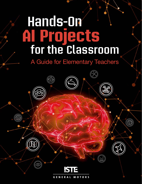# **for the Classroom AI Projects Hands-On**

## A Guide for Elementary Teachers

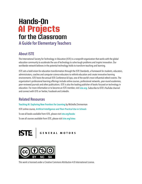## A Guide for Elementary Teachers **Hands-On for the Classroom AI Projects**

### About ISTE

The International Society for Technology in Education (ISTE) is a nonprofit organization that works with the global education community to accelerate the use of technology to solve tough problems and inspire innovation. Our worldwide network believes in the potential technology holds to transform teaching and learning.

ISTE sets a bold vision for education transformation through the ISTE Standards, a framework for students, educators, administrators, coaches and computer science educators to rethink education and create innovative learning environments. ISTE hosts the annual ISTE Conference & Expo, one of the world's most influential edtech events. The organization's professional learning offerings include online courses, professional networks, year-round academies, peer-reviewed journals and other publications. ISTE is also the leading publisher of books focused on technology in education. For more information or to become an ISTE member, visit *[iste.org](http://iste.org)*. Subscribe to ISTE's YouTube channel and connect with ISTE on Twitter, Facebook and LinkedIn.

### Related Resources

[Teaching AI: Exploring New Frontiers for Learning](https://id.iste.org/connected/resources/product?id=4209) by Michelle Zimmerman

ISTE online course, *[Artificial Intelligence and Their Practical Use in Schools](https://www.iste.org/learn/iste-u/artificial-intelligence)*

To see all books available from ISTE, please visit [iste.org/books](https://www.iste.org/learn/books)

To see all courses available from ISTE, please visit [iste.org/isteu](https://www.iste.org/learn/iste-u)





This work is licensed under a [Creative Commons Attribution 4.0 International License.](https://creativecommons.org/licenses/by-nc-sa/4.0/)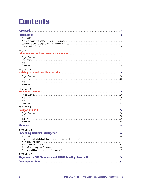## **Contents**

| PROJECT 1<br>What AI Does Well and Does Not Do as Well <b>Commission Contract AI Does</b> 12                         |    |
|----------------------------------------------------------------------------------------------------------------------|----|
|                                                                                                                      |    |
| <b>PROJECT 2</b><br>Training Data and Machine Learning <b>Commission Commission Commission</b> 20                    |    |
|                                                                                                                      |    |
| PROJECT <sub>3</sub>                                                                                                 |    |
|                                                                                                                      |    |
| PROJECT 4                                                                                                            |    |
|                                                                                                                      |    |
|                                                                                                                      | 45 |
| APPENDIX A<br>Unpacking Artificial Intelligence <b>Manual According to the Contract Office</b> A6                    |    |
| <b>APPENDIX B</b><br>Alignment to ISTE Standards and AI4K12 Five Big Ideas in AI <b>Constitution Constitution</b> 50 |    |
|                                                                                                                      |    |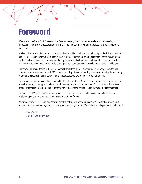## <span id="page-3-0"></span>**Foreword**

Welcome to the *Hands-On AI Projects for the Classroom* series, a set of guides for teachers who are seeking instructional and curricular resources about artificial intelligence (AI) for various grade levels and across a range of subject areas.

We know that the jobs of the future will increasingly demand knowledge of how to leverage and collaborate with AI as a tool for problem-solving. Unfortunately, most students today are not on a trajectory to fill those jobs. To prepare students, all educators need to understand the implications, applications, and creation methods behind AI. After all, teachers are the most important link in developing the new generation of AI-savvy learners, workers, and leaders.

That's why ISTE has partnered with General Motors (GM) to lead the way regarding AI in education. Over the past three years, we have teamed up with GM to create scalable professional learning experiences to help educators bring AI to their classrooms in relevant ways, and to support students' exploration of AI-related careers.

These guides are an extension of our work and feature student-driven AI projects curated from educators in the field, as well as strategies to support teachers in implementing the projects in a variety of K–12 classrooms. The projects engage students in both unplugged and technology-infused activities that explore key facets of AI technologies.

The *Hands-On AI Projects for the Classroom* series is just one of the resources ISTE is creating to help educators implement powerful AI projects to prepare students for their futures.

We are convinced that the language of future problem-solving will be the language of AI, and that educators must accelerate their understanding of AI in order to guide the next generation. We are here to help you make that happen!

Joseph South ISTE Chief Learning Officer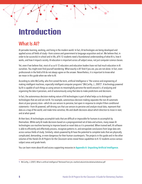## <span id="page-4-0"></span>**Introduction**

### What Is AI?

AI pervades learning, working, and living in the modern world. In fact, AI technologies are being developed and applied across all fields of study—from science and government to language acquisition and art. We believe that, in order to be successful in school and in life, *all* K–12 students need a foundational understanding of what AI is, how it works, and how it impacts society. AI education is important across *all* subject areas, not just computer science classes.

Yet, even if we believe that, most of us as K–12 educators and education leaders have not had much education in AI ourselves. You might even find yourself wondering: What exactly is AI? And if you are, you are not alone. In fact, even professionals in the field of AI do not always agree on the answer. Nevertheless, it is important to know what we mean in this guide when we refer to AI.

According to John McCarthy, who first coined the term, artificial Intelligence is "the science and engineering of making intelligent machines, especially intelligent computer programs" (McCarthy, J., 2007)<sup>1</sup>. A technology powered by AI is capable of such things as using sensors to meaningfully perceive the world around it, of analyzing and organizing the data it perceives, and of autonomously using that data to make predictions and decisions.

In fact, the autonomous decision-making nature of AI technologies is part of what helps us to distinguish technologies that are and are not AI. For example, autonomous decision-making separates the non-AI automatic doors at your grocery store—which do use sensors to perceive, but open in response to simple if-then conditional statements—from AI-powered, self-driving cars that use sensors to perceive and analyze visual data, represent that data as a map of the world, and make time-sensitive, life-and-death decisions about which direction to move in next, and at what speed.

At their best, AI technologies accomplish tasks that are difficult or impossible for humans to accomplish by themselves. While early AI made decisions based on a preprogrammed set of data and actions, many newer AI technologies use machine learning to improve based on novel data as it is presented. When trained well, AI software is able to efficiently and effectively process, recognize patterns in, and extrapolate conclusions from large data sets across various fields of study. Similarly, robots powered by AI have the potential to complete tasks that are physically complicated, demanding, or even dangerous for their human counterparts. The projects in this guide and in the other volumes of the *Hands-On AI Projects for the Classroom* series reveal these capabilities to K–12 students across various subject areas and grade levels.

You can learn more about AI and access supporting resources in [Appendix A: Unpacking Artificial Intelligence](#page-45-0).

<sup>1</sup> McCarthy, J. (2007). What is artificial intelligence? Retrieved from [jmc.stanford.edu/articles/whatisai/whatisai.pdf](http://jmc.stanford.edu/articles/whatisai/whatisai.pdf)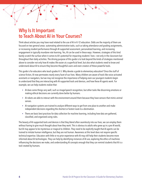### <span id="page-5-0"></span>Why Is It Important to Teach About AI in Your Courses?

Think about articles you may have read related to the use of AI in K–12 education. Odds are the majority of them are focused on two general areas: automating administrative tasks, such as taking attendance and grading assignments, or increasing student performance through AI-supported assessment, personalized learning, and increasing engagement in typically mundane rote learning. Yes, AI can be used in these ways. However, strategies of this kind barely scratch the surface when it comes to AI's potential for impacting students' lives—not only in the classroom but throughout their daily activities. The driving purpose of this guide is to look beyond the kinds of strategies mentioned above to consider not only how AI makes life easier at a superficial level, but also what students need to know and understand about AI to ensure they become thoughtful users and even creators of these powerful tools.

This guide is for educators who teach grades K–5. Why devote a guide to elementary education? Once the stuff of science fiction, AI now permeates nearly every facet of our lives. Many children are aware of tools like voice-activated assistants or navigators, but we may not recognize the importance of helping even our youngest students begin to understand that they are interacting with AI-supported tools and devices, and how these AI agents work. For example, we can help students realize that:

- AI does some things very well, such as image/speech recognition, but other tasks like discerning emotions or making ethical decisions are currently done better by humans.
- AI robots are able to interact with the environment around them because they have sensors that mimic animal senses.
- AI navigation systems are trained to analyze different ways to get from one place to another and make independent decisions regarding the shortest or fastest route to a destination.
- There are basic best practices for data collection for machine learning, including how data are gathered, classified, and organized using rules.

The beauty of AI-supported tools and devices is that they blend often seamlessly into our lives; we can employ them without having to give much thought about how they work. This is obvious to adults who grew up in a pre-AI world, but AI may appear to be mysterious or magical to children. They need to be explicitly taught that AI agents can be trained to imitate human intelligence, but they are not human. Awareness at this level does not require specific technical expertise. Educators with little or no prior experience with AI may still help their students become more informed about AI technologies. They can help by identifying instances of AI use, exploring the ethics of machines influencing the decisions we make, and understanding AI concepts enough that they can remind students that AI is a tool created by humans.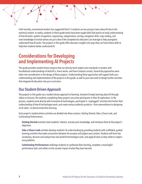<span id="page-6-0"></span>Until recently, conventional wisdom has suggested that K–5 students are too young to learn about AI due to the technical content. In reality, students in these grade levels have been taught skills that lead to an early understanding of how AI works: pattern recognition, sequencing, categorization, sorting, navigation skills, map reading, and even knowledge of animal senses are just a few of the competencies educators can leverage to help youngsters understand how AI works. The projects in this guide offer educators insights into ways they can frame these skills to help their students better understand AI.

### Considerations for Developing and Implementing AI Projects

This guide provides student-driven projects that can directly teach subject area standards in tandem with foundational understandings of what AI is, how it works, and how it impacts society. Several key approaches were taken into consideration in the design of these projects. Understanding these approaches will support both your understanding and implementation of the projects in this guide, as well as your own work to design further activities that integrate AI education into your curriculum.

### Our Student-Driven Approach

The projects in this guide use a student-driven approach to learning. Instead of simply learning *about* AI through videos or lectures, the students completing these projects are active participants in their AI exploration. In the process, students work directly with innovative AI technologies, participate in "unplugged" activities that further their understanding of how AI technologies work, and create various authentic products—from presentations to designing an AI robot—to demonstrate their learning.

Each project's student-driven activities are divided into three sections: Getting Started, Take a Closer Look, and Culminating Performances.

**Getting Started** activities hook students' interest, activate prior knowledge, and introduce them to the project's objectives.

**Take a Closer Look** activities develop students' AI understanding by providing students with scaffolded, guided learning activities that make connections between AI concepts and subject-area content. Students will learn key vocabulary, discover and analyze how real-world AI technologies work, and apply AI tools as they relate to subjectarea problems.

**Culminating Performances** challenge students to synthesize their learning, complete a meaningful performance task, and reflect on the societal impact of what they have learned.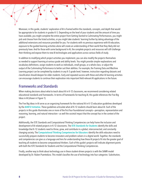Moreover, in this guide, students' exploration of AI is framed within the standards, concepts, and depth that would be appropriate to for students in grades K–5. Depending on the level of your students and the amount of time you have available, you might complete the entire project from Getting Started to Culminating Performances, you might pick and choose from the listed activities, or you might take students' learning further by taking advantage of the additional extensions and resources provided for you. For students with no previous experience with AI education, exposure to the guided learning activities alone will create an understanding of their world that they likely did not previously have. And for those with some background in AI, the complete projects and resources will still challenge their thinking and expose them to new AI technologies and applications across various fields of study.

In addition to modifying which project activities you implement, you can also modify the projects themselves as needed to support learning at various grade and ability levels. You might provide simpler explanations and vocabulary definitions; assign students to work as individuals, small groups, or a whole class; or adjust the output of the Culminating Performance to better suit their abilities. For example, the Training Data and Machine Learning project can be completed by students in any K–5 grade level; however, instruction regarding datasets and classification should deepen for older students. Early and repeated success with these and other AI learning activities can encourage students to continue their exploration into important field-relevant AI applications in the future.

### Frameworks and Standards

When making decisions about what to teach about AI in K–12 classrooms, we recommend considering related educational standards and frameworks. In terms of frameworks for teaching AI, this guide references the Five Big Ideas in AI (shown in Figure 1).

The Five Big Ideas in AI serve as an organizing framework for the national AI in K–12 education guidelines developed by the [AI4K12 Initiative](www.ai4k12.org). These guidelines articulate what all K-12 students should learn about AI. Each of the projects in this guide illuminates one or more of the first four foundational concepts—perception, representation and reasoning, learning, and natural interaction—as well the societal impact that the concept has in the context of the project.

Additionally, the ISTE Standards and Computational Thinking Competencies can help frame the inclusion and development of AI-related projects in K–12 classrooms. The [ISTE Standards for Students](https://www.iste.org/standards/for-students) identify the skills and knowledge that K–12 students need to thrive, grow, and contribute in a global, interconnected, and constantly changing society. The [Computational Thinking Competencies for Educators](www.iste.org/standards/computational-thinking) identify the skills educators need to successfully prepare students to become innovators and problem-solvers in a digital world. Together, the standards and competencies can give us a language and lens for understanding how these AI projects fit into the greater goal of teaching all students to become computational thinkers. Each of this guide's projects will indicate alignment points with both the ISTE Standards for Students and the Computational Thinking Competencies.

Finally, another way to think about technology use in these student-driven projects is with the SAMR model developed by Dr. Ruben Puentedura. This model classifies the use of technology into four categories: Substitution,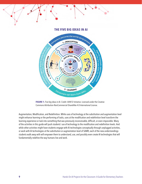#### **THE FIVE BIG IDEAS IN AI**





Augmentation, Modification, and Redefinition. While uses of technology at the substitution and augmentation level might enhance learning or the performing of tasks, uses at the modification and redefinition level transform the learning experience or task into something that was previously inconceivable, difficult, or even impossible. Many of the activities in this guide will push students' use of technology to the modification and redefinition levels. And while other activities might have students engage with AI technologies conceptually through unplugged activities, or work with AI technologies at the substitution or augmentation level of SAMR, each of the new understandings students walk away with will empower them to understand, use, and possibly even create AI technologies that will fundamentally redefine the way humans live and work.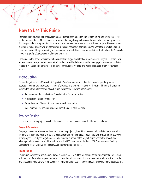### <span id="page-9-0"></span>How to Use This Guide

There are many courses, workshops, seminars, and other learning opportunities both online and offline that focus on the fundamentals of AI. There are also resources that target very tech-savvy educators who have backgrounds in AI concepts and the programming skills necessary to teach students how to code AI-based projects. However, when it comes to the educators who are themselves in the early stages of learning about AI, very little is available to help them transfer what they are learning into meaningful, student-driven classroom activities. That's where the *Hands-On AI Projects for the Classroom* series of guides comes in.

Each guide in this series offers information and activity suggestions that educators can use—regardless of their own experience and background—to ensure their students are afforded opportunities to engage in meaningful activities related to AI. Each guide consists of three parts: Introduction, Projects, and Appendices. Let's briefly review each section.

#### Introduction

Each of the guides in the *Hands-On AI Projects for the Classroom* series is directed toward a specific group of educators: elementary, secondary, teachers of electives, and computer science teachers. In addition to this How To section, the introductory section of each guide includes the following information:

- An overview of the Hands-On AI Projects for the Classroom series
- A discussion entitled "What Is AI?"
- An explanation of how AI fits into the context for that guide
- Considerations for designing and implementing AI-related projects

### Project Design

For ease of use, every project in each of the guides is designed using a consistent format, as follows.

#### **Project Overview**

The project overview offers an explanation of what the project is, how it ties to research-based standards, and what students will learn and be able to do as a result of completing the project. Specific sections include a brief overview of the project; the subject, target grades, and estimated duration of the project; objectives for the project; and a listing of relevant standards addressed, such as the ISTE Standards for Students, ISTE Computational Thinking Competencies, AI4K12 Five Big Ideas in AI, and content-area standards.

#### **Preparation**

Preparation provides the information educators need in order to put the project into action with students. This section includes a list of materials required for project completion; a list of supporting resources for the educator, if applicable; and a list of planning tasks to complete prior to implementation, such as selecting tools, reviewing online resources, etc.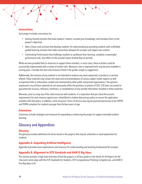#### **Instructions**

Each project includes instructions for:

- Getting Started activities that hook students' interest, activate prior knowledge, and introduce them to the project's objectives.
- Take a Closer Look activities that develop students' AI understanding by providing students with scaffolded, guided learning activities that make connections between AI concepts and subject area content.
- Culminating Performances that challenge students to synthesize their learning, complete a meaningful performance task, and reflect on the societal impact of what they've learned.

While we have provided links to resources to support these activities, in most cases, these activities could be successfully implemented with a variety of similar tools. Moreover, new or improved tools may become available in coming years. Consider the tools and resources listed in the guides simply as suggestions.

Additionally, the inclusion of any material is not intended to endorse any views expressed, or products or services offered. These materials may contain the views and recommendations of various subject-matter experts as well as hypertext links to information created and maintained by other public and private organizations. The opinions expressed in any of these materials do not necessarily reflect the positions or policies of ISTE. ISTE does not control or guarantee the accuracy, relevance, timeliness, or completeness of any outside information included in these materials.

Moreover, prior to using any of the cited resources with students, it is imperative that you check the account requirements for each resource against your school/district student data privacy policy to ensure the application complies with that policy. In addition, some resources' Terms of Service may require parental permission to be COPPA and FERPA compliant for students younger than thirteen years of age.

#### **Extensions**

Extensions include strategies and resources for expanding or enhancing the project to support extended student learning.

#### Glossary and Appendices

#### **Glossary**

The glossary includes definitions for terms found in the projects that may be unfamiliar or need explanation for students.

#### **Appendix A: Unpacking Artificial Intelligence**

Appendix A provides basic explanations and resources for understanding and teaching fundamental AI concepts.

#### **Appendix B: Alignment to ISTE Standards and AI4K12 Big Ideas**

This section provides a high-level overview of how the projects in all four guides in the *Hands-On AI Projects for the Classroom* series align with the ISTE Standards for Students, ISTE Computational Thinking Competencies, and AI4K12 Five Big Ideas in AI.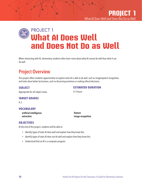### <span id="page-11-0"></span>PROJECT 1 **ixi**<br>iola **What AI Does Well and Does Not Do as Well**

When interacting with AI, elementary students often learn more about what AI cannot do well than what it can do well.

### Project Overview

This project offers students opportunities to explore tasks AI is able to do well, such as image/speech recognition, and tasks done better by humans, such as discerning emotions or making ethical decisions.

#### **SUBJECT**

#### **ESTIMATED DURATION**

Appropriate for all subject areas.

### **TARGET GRADES**

K–5

#### **VOCABULARY**

artificial intelligence extraction

feature image recognition

4–5 hours

#### **OBJECTIVES**

At the end of this project, students will be able to:

- Identify types of tasks AI does well and explain how they know this.
- Identify types of tasks AI does not do well and explain how they know this.
- Understand that an AI is a computer program.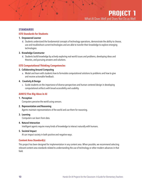#### **STANDARDS**

#### **ISTE Standards for Students**

#### 1. Empowered Learner

d. Students understand the fundamental concepts of technology operations, demonstrate the ability to choose, use and troubleshoot current technologies and are able to transfer their knowledge to explore emerging technologies.

#### 3. Knowledge Constructor

d. Students build knowledge by actively exploring real-world issues and problems, developing ideas and theories, and pursuing answers and solutions.

#### **ISTE Computational Thinking Competencies**

#### 3. Collaborating Around Computing

a. Model and learn with students how to formulate computational solutions to problems and how to give and receive actionable feedback.

#### 4. Creativity & Design

c. Guide students on the importance of diverse perspectives and human-centered design in developing computational artifacts with broad accessibility and usability.

#### **AI4K12 Five Big Ideas in AI**

#### 1. Perception

Computers perceive the world using sensors.

#### 2. Representation and Reasoning

Agents maintain representations of the world and use them for reasoning.

#### 3. Learning

Computers can learn from data.

#### 4. Natural Interaction

Intelligent agents require many kinds of knowledge to interact naturally with humans.

#### 5. Societal Impact

AI can impact society in both positive and negative ways.

#### **Content Area Standard(s)**

This project has been designed for implementation in any content area. When possible, we recommend selecting relevant content area standards related to understanding the use of technology or other modern advances in that field.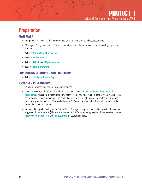### <span id="page-13-0"></span>Preparation

#### **MATERIALS**

- Computer(s) or tablet(s) with internet connection for accessing tools and resources online.
- 10 images—5 dogs and a mix of 5 other animals (e.g., cows, ducks, elephants, etc.), for each group of 3–4 students.
- Activity: [Aaron Wong AI Tic-Tac-Toe](http://www.aaronccwong.com/tic-tac-toe)
- Activity: [Bird Sounds](http://experiments.withgoogle.com/bird-sounds)
- Activity: [Akinator](http://en.akinator.com) and [Mystery Animal](http://mysteryanimal.withgoogle.com)
- Tool: [Write with Transformer](http://transformer.huggingface.co)

#### **SUPPORTING RESOURCES FOR EDUCATORS**

• Activity: [Intelligent Piece of Paper](http://www.cs4fn.org/teachers/activities/intelligentpaper/intelligentpaper.pdf)

#### **ADVANCED PREPARATION**

- Familiarize yourself with each of the online resources.
- If you are working with children in grades K–2, watch the video "[What's intelligent about artificial](https://www.youtube.com/watch?v=xR6j9TLZdAw)  [intelligence](https://www.youtube.com/watch?v=xR6j9TLZdAw)." Make note of the following two points: 1. One day, AI developers hope to create machines that can perform any task a human can. This is called general AI. 2. For right now, AI are limited to performing just one or a few limited tasks. This is called narrow AI. You will be mentioning these points to your students during the Activity 1 Discussion.
- Prepare 10 images for each group of 3–4 students. (5 images of dogs and a mix of images of 5 other animals, e.g., cows, ducks, elephants.) Number the images 1 to 10. Each group may be given the same sets of images. [Creative Commons](http://search.creativecommons.org) Search and [Pics4Learning](http://www.pics4learning.com) are sources of images.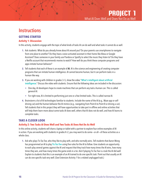### <span id="page-14-0"></span>**Instructions**

#### **GETTING STARTED**

#### **Activity 1: Discussion**

In this activity, students engage with the topic of what kinds of tasks AI can do well and what tasks it cannot do as well.

- **1.** Ask students: What do you already know about AI around you? Do your parents use smartphones to navigate from one place to another? Do they have a voice-activated assistant in their home like Alexa or Google Assistant? Does someone in your family use Pandora or Spotify to select the music they listen to? Do they have a Netflix account that recommends movies to watch? How well do you think these computer programs and apps imitate human behavior?
- **2.** Tell students that each of these is an example of AI. AI is the science and engineering of creating computer programs that can imitate human intelligence. AI cannot become human, but it can perform tasks in a human-like way.
- **3.** If you are working with children in grades 3–5, show the video "[What's intelligent about artificial](http://www.youtube.com/watch?v=xR6j9TLZdAw)  [intelligence](http://www.youtube.com/watch?v=xR6j9TLZdAw)." Discuss the video with students. Ensure that the following ideas are included in the discussion:
	- One day, AI developers hope to create machines that can perform any task a human can. This is called general AI.
	- For right now, AI is limited to performing just one or a few limited tasks. This is called narrow AI.
- **4.** Brainstorm a list of AI technologies familiar to students. Include the name of the AI (e.g., Waze app or selfdriving car) and the human behavior the AI mimics (e.g., navigating from Point A to Point B or driving a car). Tell students that in this project they will have opportunities to take part in offline and online activities that will help them learn more about some tasks AI does well, others that AI does not do well, and how AI learns to complete tasks.

#### **TAKE A CLOSER LOOK**

#### **Activity 2: Two Tasks AI Does Well and Two Tasks AI Does Not Do As Well**

In this online activity, students will share a laptop or tablet with a partner to explore four online examples of AI in action. If you are working with students in grades K–2, you may want to do some—or all—of these activities as a whole class.

**1.** Ask who plays Tic-Tac-Toe, who they like to play with, and who normally wins. Tell students that [Aaron Wong](file:)  has programmed an AI to play [Tic-Tac-Toe](http://www.aaronccwong.com/tic-tac-toe) using five rules for the AI to follow. Give students an opportunity to each play several games against the AI and request that they track how many times the AI wins, how many times they win, and how many times the game ends in a tie. Ask if playing Tic-Tac-Toe is a task the AI did well. Explain to students that this is an example of an AI trained to do one specific task. Point out that usually an AI can do one specific task very well. (See Extension Activity 1 for a related unplugged task.)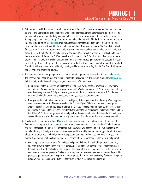- **2.** Ask students how birds communicate with one another. If they don't know the answer, explain that birds use calls to sound alarms or contact one another when looking for food, among other reasons. Tell them that it's possible to learn a lot about birds by listening to these calls and knowing what different bird calls sound like. To help people study birds, a group of programmers collected thousands of bird call recordings and put them into one large set called [Bird Sounds](http://experiments.withgoogle.com/bird-sounds). Then they created an AI that taught itself how to classify all the bird calls, find photos of the different birds, and label each of them. Now anyone can use Bird Sounds to find calls for specific birds, or just to explore. Give students several minutes to delve into the collection. Ask students if the AI did its task well. Was the collection easy to navigate? Were they able to browse the collection to access information about different birds? Were they able to find specific birds? Can they think of any ways to make the collection easier to use? Explain that this example and the Tic-Tac-Toe game are similar because they each do one thing. However, they are different because the Tic-Tac-Toe AI was trained using five rules, but with Bird Sounds, the AI taught itself how to identify, classify, and label the sounds. Say that the Bird Sounds AI is good at classifying and organizing sounds.
- **3.** Tell students they are now going to play two animal guessing games that are AIs. The first is called [Akinator](http://en.akinator.com). The class will think of an animal, and Akinator will try to guess what it is. The second is called [Mystery Animal](http://mysteryanimal.withgoogle.com). In this activity students are challenged to guess an animal in 20 questions.
	- Begin with Akinator. Identify an animal for the AI to guess. Play the game as a whole class. How many questions did Akinator ask before guessing the animal? Was the guess correct? Were the questions clearly stated and easy to answer? Did you notice any patterns in the way questions were asked? Could these questions be helpful to you in the next game, where you need to ask questions?
	- Now give student pairs a few minutes to play the Mystery Animal game. Ask the following: What happened when you asked a question? Do you know how the AI "heard" you? Did the AI understand you right away when you spoke to it, or did you need to change the way you spoke to be understood by the AI? How many questions did you need to ask to correctly identify the animal? How is this game similar to Akinator, and how is it different? Do these two games work equally well, or does one work better than the other? Explain your answer. Help students understand that usually a text-based AI works better than a voice-recognition AI.
- **4.** Finally, lead a class demonstration of [Write with Transformer](http://transformer.huggingface.co), a web app that is a demonstration site. It features two examples of AI text generators built using a text generation system called GPT-2 (checkpoints) and three models of different AI text generation systems. When you choose one of the five checkpoint or model options, you then type in a phrase or sentence, and the AI will generate three suggestions for the next phrase or sentence. You can briefly demonstrate just one option so students see how it works, or you can demonstrate multiple options to allow students to compare how each responds to the same initial prompt.
	- For example, click "Start Writing" for the first checkpoint. Click and drag to highlight the existing text, and type "I love to watch birds fly." Click "Trigger Autocomplete." This generates three responses. Read them aloud, ask students to choose the response that makes the most sense, and click on it. If none of the responses make sense, press the Tab key on your keyboard to generate three new responses. Repeat this process to generate additional responses, choosing those that make the most sense, if possible. The point is to give students the opportunity to see that much of what is produced is nonsensical.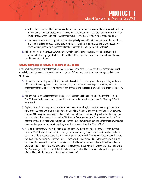- Ask students what could be done to make the text that's generated make sense. Help them conclude that a human being could edit the responses to make sense. Do this as a class. Ask the students if the Write with Transformer AI writes good stories. Ask them if they have any idea why this AI does not do this job well.
- You may repeat the above steps with the remaining checkpoint and/or with one or more of the models. Use the same initial sentence. Ask students to compare results of the different checkpoints and models. Are some better at generating responses that make sense with the initial prompt than others?
- **5.** Ask students which of the four tasks were done well by the AI and which tasks were not. Tell students they are going to try two unplugged activities that will help them understand how an AI learns a task and why its capability might be limited.

#### **Activity 3: Unplugged Activity–AI and Image Recognition**

In this unplugged activity students learn how an AI uses images and physical characteristics to organize images of animals by type. If you are working with students in grades K–2, you may need to do the unplugged activities as a whole class.

- **1.** Students work in small groups of 3–4 to complete this activity. Give each group 10 images, 5 dogs and a mix of 5 other animals (e.g., cows, ducks, elephants, etc.), and give each team one piece of writing paper. Tell students that they will be learning how an AI can be taught *image recognition* and how to organize images by type.
- **2.** Ask one student on each team to turn the paper to landscape position and number it across the top from 1 to 10. Down the left side of each paper ask the student to list these five questions: Fur? Four legs? Paws? Tail? Mouth?
- **3.** Explain that an AI can compare two images to see if they are identical, but that it is more complicated for an AI to recognize when two images might be of the same kind of thing when they are not identical. One way to teach an AI to recognize two images that are similar, but not identical, is to identify features of the image that can be used to tell one image from another. This is called feature extraction. An AI may not be able to "see" that two images are similar when they are not identical, but it can compare features. Give teams a few minutes to answer the questions for each image they have. Their answers should be "Yes" or "No."
- **4.** Now tell students they will train the AI to recognize dogs. Say that to be a dog, the answer to each question must be "Yes." Have each team classify its images by dog or not dog, then check to see if the classification is correct. If students report that the classification is right, ask them which features eliminated images that were not dogs. If the classification is not accurate, ask them which image(s) ended up in the wrong group. During this discussion, ensure that students understand that the AI does not understand what it has been asked to do. It has simply followed the rule it was given—to place every image where the answer to all five questions is "Yes" into one group. It is especially helpful to have an AI do a task like this when dealing with a large amount of data, like the Bird Sounds collection explored in Activity 3.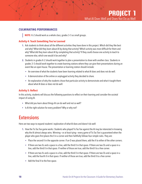#### <span id="page-17-0"></span>**CULMINATING PERFORMANCES**

**NOTE:** K–2 should work as a whole class; grades 3–5 as small groups.

#### **Activity 4: Teach Something You've Learned**

- **1.** Ask students to think about all the different activities they have done in this project. Which did they like best and why? What did they learn about AI by doing that activity? Which activity was most difficult for them and why? What did they learn about AI by completing that activity? If they could choose one activity to teach to someone else, which one would it be and why?
- **2.** Students in grades K–2 should work together to plan a presentation to share with another class. Students in grades 3–5 should work together to create learning stations where they can give their presentations during an event like an open house. The presentation or learning station should include:
	- An overview of what the students have been learning related to what AI does and does not do well.
	- A demonstration of the online or unplugged activity they decided to share.
	- An explanation of why the students chose that particular activity to demonstrate and what it taught them about what AI does or does not do well.

#### **Activity 5: Reflect**

In this activity, students will discuss the following questions to reflect on their learning and consider the societal impact of using AI.

- What did you learn about things AI can do well and not so well?
- Is AI the right solution for every problem? Why or why not?

### **Extensions**

Here are two ways to expand students' exploration of what AI does and doesn't do well:

- **1.** How the Tic-Tac-Toe game works: Students who played Tic-Tac-Toe against the AI may be interested in knowing why the AI almost always wins. Winning—or at least tying—every game of Tic-Tac-Toe is guaranteed when the player who goes first places the X in a corner and then faithfully follows four simple rules. They are:
	- Place the second X in the opposite corner. If an O was placed there, add the X to either of the other corners.
	- If there are two Xs and a space in a line, add the third X in that space. If there are two Os and a space in a line, add the third X in that space. If neither of those are true, add the third X to a free corner.
	- If there are two Xs and a space in a line, add the third X in that space. If there are two Os and a space in a line, add the fourth X in that space. If neither of those are true, add the third X to a free corner.
	- Add the final X to the free space.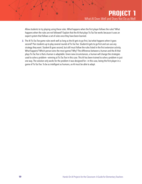Allow students to try playing using these rules. What happens when the first player follows the rules? What happens when the rules are not followed? Explain that the AI that plays Tic-Tac-Toe works because it uses an expert system that follows a set of rules once they have been learned.

**2.** The AI Tic-Tac-Toe game rules work well as long as the AI gets to go first, but what happens when it goes second? Pair students up to play several rounds of Tic-Tac-Toe. Student A gets to go first and can use any strategy they want. Student B goes second, but still must follow the rules listed in the first extension activity. What happens? Which person wins the most games? Why? The difference between a human and the AI that plays Tic-Tac-Toe is that a human is adaptable. Given new circumstances, a human will change the strategies used to solve a problem—winning at Tic-Tac-Toe in this case. This AI has been trained to solve a problem in just one way. The solution only works for the problem it was designed for—in this case, being the first player in a game of Tic-Tac-Toe. To be as intelligent as humans, an AI must be able to adapt.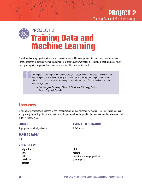## <span id="page-19-0"></span>**Training Data and Machine Learning** PROJECT 2

A machine learning algorithm is a process or set of rules used by a computer to find and apply patterns in data. For this approach to succeed, tremendous amounts of accurate, relevant data are required. This training data must usually be supplied by people, but is sometimes acquired by the machine itself.

> This AI project is for regular classroom teachers, not just technology specialists. I think that is an essential point since teachers at any grade level might find the topic exciting but intimidating. The project is hands-on and utilizes manipulatives, which is crucial for concrete learners in the elementary grades.

— Patricia Aigner, Technology Director & Fifth Grade Technology Teacher, Rutland City Public Schools

### **Overview**

In this activity, students are exposed to basic best practices for data collection for machine learning, including quality and quantity, by participating in introductory, unplugged activities designed to demonstrate how data are sorted and organized using rules.

#### **SUBJECT**

Appropriate for all subject areas.

#### **ESTIMATED DURATION**

2.5–3 hours

#### **TARGET GRADES**

 $K-5$ 

#### **VOCABULARY**

algorithm bias data database dataset

digits feature machine learning algorithm training data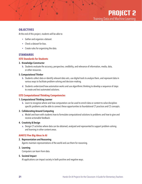#### **OBJECTIVES**

At the end of this project, students will be able to:

- Gather and organize a dataset.
- Check a dataset for bias.
- Create rules for organizing the data.

#### **STANDARDS**

#### **ISTE Standards for Students**

#### 3. Knowledge Constructor

b. Students evaluate the accuracy, perspective, credibility, and relevance of information, media, data, or other resources.

#### 5. Computational Thinker

- b. Students collect data or identify relevant data sets, use digital tools to analyze them, and represent data in various ways to facilitate problem-solving and decision-making.
- d. Students understand how automation works and use algorithmic thinking to develop a sequence of steps to create and test automated solutions.

#### **ISTE Computational Thinking Competencies**

#### 1. Computational Thinking Learner

b. Learn to recognize where and how computation can be used to enrich data or content to solve disciplinespecific problems and be able to connect these opportunities to foundational CT practices and CS concepts.

#### 3. Collaborating Around Computing

a. Model and learn with students how to formulate computational solutions to problems and how to give and receive actionable feedback.

#### 4. Creativity & Design

a. Design CT activities where data can be obtained, analyzed and represented to support problem-solving and learning in other content areas.

#### **AI4K12 Five Big Ideas in AI**

#### 2. Representation and Reasoning

Agents maintain representations of the world and use them for reasoning.

#### 3. Learning

Computers can learn from data.

#### 5. Societal Impact

AI applications can impact society in both positive and negative ways.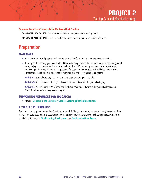#### <span id="page-21-0"></span>**Common Core State Standards for Mathematical Practice**

CCSS.MATH.PRACTICE.MP1: Make sense of problems and persevere in solving them.

CCSS.MATH.PRACTICE.MP3: Construct viable arguments and critique the reasoning of others.

### Preparation

#### **MATERIALS**

- Teacher computer and projector with internet connection for accessing tools and resources online.
- To complete this activity, you need a total of 85 vocabulary picture cards: 75 cards that fall within one general category (e.g., transportation, furniture, animals, food) and 10 vocabulary picture cards of items that do not belong in that general category. Suggestions for obtaining these cards are listed below in Advanced Preparation. The numbers of cards used in Activities 2, 3, and 4 vary as indicated below:

**Activity 2.** General category—45 cards; not in the general category—5 cards.

Activity 3. All cards used in Activity 2, plus an additional 20 cards in the general category.

**Activity 4.** All cards used in Activities 2 and 3, plus an additional 10 cards in the general category and 5 additional cards not in the general category.

#### **SUPPORTING RESOURCES FOR EDUCATORS**

• Article: "[Statistics in the Elementary Grades: Exploring Distributions of Data](https://nanopdf.com/download/statistics-in-the-elementary-grades_pdf)"

#### **ADVANCED PREPARATION**

Gather the cards required to complete Activities 2 through 4. Many elementary classrooms already have these. They may also be purchased online or at school supply stores, or you can make them yourself using images available on royalty-free sites such as [Pics4Learning](http://www.pics4learning.com), [Pixabay.com](https://pixabay.com/), and [Smithsonian O](https://www.si.edu/openaccess)pen Access.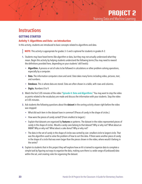### <span id="page-22-0"></span>**Instructions**

#### **GETTING STARTED**

#### **Activity 1: Algorithms and Data**—**an Introduction**

In this activity, students are introduced to basic concepts related to algorithms and data.

**NOTE:** This activity is appropriate for grades 3–5 and is optional for students in grades K–2.

- **1.** Students may have heard terms like algorithm or data, but they may not actually understand what they mean. Begin this activity by helping students understand the following terms (You may need to reword the definitions provided here, depending on your students' skill levels):
	- Algorithm. A process or set of rules to be followed in calculations or other problem-solving operations, especially by a computer.
	- Data. The information computers store and send. Data takes many forms including video, pictures, text, and numbers.
	- Database. This is where data are stored. Data are often shown in a table, with rows and columns.
	- Digits. Numbers 0 to 9.
- **2.** Watch the first 5:05 minutes of the video "[Episode 4: Data and Algorithms](http://www.youtube.com/watch?v=NAArZU-jgy0)." You may want to stop the video as points related to the vocabulary are made and discuss the information with your students. Stop the video at 5:05 minutes.
- **3.** Ask students the following questions about the dataset in the sorting activity shown right before the video was stopped:
	- What did each item in the dataset have in common? (Pieces of candy in the shape of circles.)
	- How were the pieces of candy sorted? (From smallest to largest.)
	- Explain that datasets are organized by features or patterns. The dataset in the video represented pieces of candy in the shape of circles. Would a candy cane belong to that dataset? Why or why not? What about an M&M? Why or why not? What about a cake donut? Why or why not?
	- The data in the set of candy in the shape of circles was sorted by size: smallest circle to largest circle. That was the algorithm used to solve the problem of how to sort the data. If there were another piece of candy in the shape of a circle that was even larger than the pieces shown in the video, where would it belong in the series?
- **4.** Explain to students that in this project they will explore how an AI is trained to organize data to complete a simple task by figuring out ways to organize the data, making sure there is a wide range of (unbiased) data within the set, and creating rules for organizing the dataset.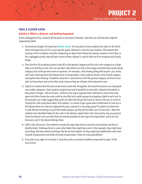#### **TAKE A CLOSER LOOK**

#### **Activity 2: What's a Dataset, and Getting Organized**

In this unplugged activity, students will be given an overview of datasets: what they are and how they might be organized by labels.

- **1.** Demonstrate Google's [AI Experiment](http://experiments.withgoogle.com/quick-draw) Quick, Draw!. You may want to show students the video on the Quick, Draw! site beginning at 0:52, or just play the game, whichever is best for your students. Tell students that training an AI to complete a task like recognizing an object that's drawn by someone requires a lot of data. In this unplugged activity, they will get a sense of how a dataset is used to teach an AI to recognize and classify things.
- **2.** Place the first 50 vocabulary picture cards (45 in the general category and five not in the category) on a large table or on the floor so the class can see them. Ask students to look at the images and think about what overall category most of the pictures seem to represent. For example, cards showing things like bicycles, cars, boats, and trucks could represent the dataset *kinds of transportation*. Have students decide on the overall category and explain their thinking. If students notice the 5 cards that do not fit the general category, set them to one side, but leave them next to the other cards, because they are still part of the dataset for now.
- **3.** Explain to students that 50 cards can be hard to work with all together, but would be easier to use if grouped into smaller categories. Have students imagine how hard it would be to work with a dataset of hundreds or thousands of images—like an AI does—without some way to organize them. Ask them to look at the cards again and think of ways the cards could be classified into smaller groups by assigning a label to each card. In this example, you might suggest they could use labels like things that travel on *land*, on the *sea*, or *in the air*. Classify the cards using these labels. Ask students: Is it easier to get a good idea of what kinds of cards are in the dataset when the cards are organized this way, instead of in one large group? If students ask about the 5 cards that do not belong in any of the smaller groups, say they will be taken care of in Activity 3. Now that students have identified labels for the cards in the dataset, explain that in the next activity, they are going to check the dataset to be sure that there are several examples of each type of transportation, and to be sure that every card in the dataset belongs there.
- **4.** Hold a class discussion. Ask students to review the steps they took to name the entire dataset and then to identify labels. Challenge them to name other labels they might have used. In this example, they might have used *things that have wheels* and *things that do not have wheels*. Or, they might have labeled the cards *kinds of public transportation* and *kinds of private transportation*. There are many possibilities!
- **5.** If you plan to go right on to Activity 3, leave the cards as currently classified and proceed to step 2 of the next activity.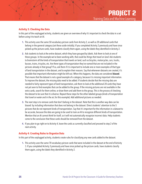#### **Activity 3: Checking the Data**

In this part of the unplugged activity, students are given an overview of why it's important to check the data in a set before using it to teach an AI.

- **1.** This activity uses the same 50 vocabulary picture cards from Activity 2, as well as 20 additional cards that belong in the general category (set these aside initially). If you completed Activity 2 previously and have since picked up the picture cards, have students classify them again, using the labels they identified in Activity 2.
- **2.** Ask students to look at the entire dataset, which they have grouped by labels. Ask them to look at one of these groups. In the example we've been working with, that could be *things that travel on land*. Ask students to brainstorm all the kinds of transportation that travels on land, such as bicycles, motorcycles, cars, trucks, busses, trains, tricycles, etc. Are there types of transportation they've named that are not included in the pictures already in that group? If so, ask them if it is important to include one or more examples of that type of land transportation in the dataset, and to explain their reasons. Say that whenever datasets are created, it's possible that important information might be left out. When this happens, the data are considered biased. That means that the dataset is not a good example of a category, because it is missing important information. To improve the dataset, the missing data need to be added. If students decide that the missing data are needed to fairly represent types of land transportation, ask them to look at the additional 20 cards they have not yet seen to find examples that can be added to the group. If the missing pictures are not available in the extra cards, search for them online, or draw them and add them to the group. This is the process of checking the dataset to be sure that it is diverse. Repeat these steps for the other labeled groups (*kinds of transportation that travel on water and in the air*, for this example). Add additional pictures as needed.
- **3.** The next step is to remove cards that don't belong in the dataset. Note that this is another way data can be biased: by including information that does not belong in the dataset. Direct students' attention to the 5 pictures that do not represent kinds of transportation. Say that it's important for the information in a dataset to be accurate, because the data are going to be used to train an AI to recognize different kinds of transportation. Mention that an AI cannot think for itself, so it will not automatically recognize incorrect data. Help students come to the conclusion that these cards should be removed from the dataset.
- **4.** If you plan to go right on to Activity 4, leave the cards as currently classified and proceed to step 2 of the next activity.

#### **Activity 4: Creating Rules to Organize Data**

In this part of the unplugged activity, students create rules for classifying any new cards added to the dataset.

**1.** This activity uses the same 70 vocabulary picture cards that were included in the dataset at the end of Activity 3. If you completed Activity 3 previously and have since picked up the picture cards, have students classify them again, using the labels they identified in Activity 2.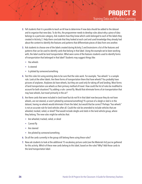- **2.** Tell students that it is possible to teach an AI how to determine if new data should be added to the dataset and to organize that new data. To do this, the programmer needs to develop rules about why a piece of data belongs to a particular category. Ask students how they knew which cards belonged to each of the labels they created in Activity 2. Help them conclude that they looked at each card and used knowledge they already had about the content to identify the features and patterns that differentiate pieces of data from one another.
- **3.** Ask students to choose one of the labels created during Activity 2 and brainstorm a list of the features and patterns that can be used to identify cards that belong in that label. Using the example we've been working with, the label could be *land transportation*. What were some of the features students used to identify forms of transportation that belonged in that label? Students may suggest things like:
	- Has wheels
	- Is steered
	- Is piloted by someone/something
- **4.** Test this rules list using existing data to be sure that the rules work. For example, "has wheels" is a sample rule. Look at the other labels. Are there forms of transportation there that have wheels? You probably have pictures of airplanes. Airplanes do have wheels, but they are used only for taking off and landing. Most forms of land transportation use wheels as their primary method of travel. How could the list of rules be modified to account for both situations? Try adding a rule: cannot fly. Would that eliminate forms of air transportation that may have wheels, but travel primarily in the air?
- **5.** Are there cards that were included in *land travel* but do not fit in that label now because they do not have wheels, are not steered, or aren't piloted by someone/something? If a picture of a sleigh or sled is in the dataset, having no wheels would eliminate it from the label, but would that be correct? Perhaps "has wheels" is not an accurate rule for land vehicles after all. Could the rule be amended to include vehicles that are wheeled, tracked, railed, or skied? That would include sleighs and sleds in the land vehicle group, where they belong. The new rules might be vehicles that:
	- Are wheeled, tracked, railed, or skied
	- Cannot fly
	- Are steered
	- Are piloted by someone/something
- **6.** Do all the cards currently in the group still belong there using these rules?
- **7.** Now ask students to look at the additional 15 vocabulary picture cards (see the Materials list) you've gathered for this activity. Which of these new cards belong to this label, based on the rules? Why? Add those cards to the *land transportation* label.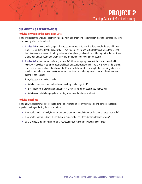#### **CULMINATING PERFORMANCES**

#### **Activity 5: Organize the Remaining Data**

In this final part of the unplugged activity, students will finish organizing the dataset by creating and testing rules for the remaining labels in the dataset.

- **1. Grades K–2:** As a whole class, repeat the process described in Activity 4 to develop rules for the additional labels that students identified in Activity 2. Have students create and test rules for each label, then look at the 15 new cards to see which belong to the remaining labels, and which do not belong in the dataset (there should be 5 that do not belong to any label and therefore do not belong in the dataset).
- **2. Grades 3–5:** Allow students to form groups of 3–4. Allow each group to repeat the process described in Activity 4 to develop rules for the additional labels that students identified in Activity 2. Have students create and test rules for each label, then look at the 15 new cards to see which belong to the remaining labels, and which do not belong in the dataset (there should be 5 that do not belong to any label and therefore do not belong in the dataset).

Then, discuss the following as a class:

- What did you learn about datasets and how they can be organized?
- Describe some of the ways you thought of to create labels for the dataset you worked with.
- What was most challenging about creating rules for adding items to labels?

#### **Activity 6: Reflect**

In this activity, students will discuss the following questions to reflect on their learning and consider the societal impact of creating and using datasets to train AI.

- How would an AI like Quick, Draw! be changed over time if people intentionally drew pictures incorrectly?
- How would an AI trained with the card data in our activities be affected if the rules were wrong?
- Why is correctly training AIs important? How could incorrectly trained AIs change our lives?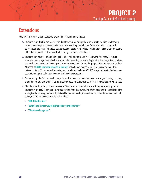### <span id="page-27-0"></span>**Extensions**

Here are four ways to expand students' exploration of training data and AI:

- **1.** Students in grades K–2 can practice the skills they've used during these activities by working in a learning center where they form datasets using manipulatives like pattern blocks, Cuisenaire rods, playing cards, colored counters, math link cubes, etc., to create datasets, identify labels within the dataset, check the quality of the dataset, and then develop rules for adding new items to the labels.
- **2.** Students may have used Google Image Search to find photos to use in schoolwork. Ask if they have ever wondered how Image Search is able to identify images using keywords. Explain that the Image Search dataset is a much larger version of the image dataset they worked with during this project. Give them time to explore Microsoft's [COCO: Common Objects in Context](https://cocodataset.org/#explore) collection of images, which is organized by an AI. This dataset contains 91 common object categories (labels) and includes 328,000 images (dataset). Students may search for images that fit into one or more of the object categories.
- **3.** Students in grades 3–5 can be challenged to work in teams to create their own datasets, which they will label, check for accuracy, and organize using rules they develop. Students may present their work to the whole class.
- **4.** Classification algorithms are just one way an AI organizes data. Another way is through sorting algorithms. Students in grades 3–5 can explore various sorting strategies by viewing brief videos and then replicating the strategies shown using math manipulatives like: pattern blocks, Cuisenaire rods, colored counters, math link cubes, or LEGO. Following are links to the videos:
	- "[LEGO Bubble Sort](http://www.youtube.com/watch?v=MtcrEhrt_K0))"
	- "[What's the fastest way to alphabetize your bookshelf?](http://www.youtube.com/watch?v=WaNLJf8xzC4)"
	- "[Simple exchange sort](www.algoanim.ide.sk/index.php?page=showanim&id=110)"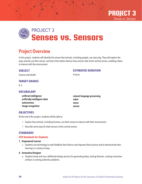

## <span id="page-28-0"></span>**Senses vs. Sensors** PROJECT 3

### Project Overview

In this project, students will identify the senses that animals, including people, use every day. They will explore the ways animals use their senses, and learn that robotic devices have sensors that mimic animal senses, enabling robots to interact with the environment.

#### **SUBJECT**

#### **ESTIMATED DURATION**

Science and Health

4 hours

#### **TARGET GRADES**

 $K-5$ 

#### **VOCABULARY**

| artificial intelligence        | natural language processing |
|--------------------------------|-----------------------------|
| artificially intelligent robot | robot                       |
| autonomous                     | sense                       |
| image recognition              | sensor                      |

#### **OBJECTIVES**

At the end of this project, students will be able to:

- Explain how animals, including humans, use their senses to interact with their environment.
- Describe some ways AI robot sensors mimic animal senses.

#### **STANDARDS**

#### **ISTE Standards for Students**

#### 1. Empowered Learner

c. Students use technology to seek feedback that informs and improves their practice and to demonstrate their learning in a variety of ways.

#### 4. Innovative Designer

a. Students know and use a deliberate design process for generating ideas, testing theories, creating innovative artifacts or solving authentic problems.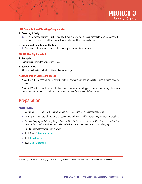

#### <span id="page-29-0"></span>**ISTE Computational Thinking Competencies**

#### 4. Creativity & Design

b. Design authentic learning activities that ask students to leverage a design process to solve problems with awareness of technical and human constraints and defend their design choices.

#### 5. Integrating Computational Thinking

b. Empower students to select personally meaningful computational projects.

#### **AI4K12 Five Big Ideas in AI**

#### 1. Perception

Computers perceive the world using sensors.

#### 5. Societal Impact

AI can impact society in both positive and negative ways.

#### **Next Generation Science Standards**

NGSS: K-LS1-1: Use observations to describe patterns of what plants and animals (including humans) need to survive.

NGSS: 4-LS1-2: Use a model to describe that animals receive different types of information through their senses, process the information in their brain, and respond to the information in different ways.

### Preparation

#### **MATERIALS**

- Computer(s) or tablet(s) with internet connection for accessing tools and resources online.
- Writing/Drawing materials: Paper, chart paper, magnet boards, and/or sticky notes, and drawing supplies.
- *National Geographic Kids Everything Robotics: All the Photos, Facts, and Fun to Make You Race for Robots*by Jennifer Swanson,<sup>2</sup> or another book that explains the sensors used by robots in simple language.
- Building blocks for stacking into a tower.
- Tool: Google's [Semi-Conductor](http://experiments.withgoogle.com/semi-conductor)
- Tool: [Speechnotes](http://speechnotes.co/)
- Tool: [Magic Sketchpad](http://magic-sketchpad.glitch.me)

2 Swanson, J. (2016). *National Geographic Kids Everything Robotics: All the Photos, Facts, and Fun to Make You Race for Robots*.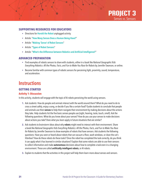

#### <span id="page-30-0"></span>**SUPPORTING RESOURCES FOR EDUCATORS**

- Directions for **[Harold the Robot](http://classic.csunplugged.org/wp-content/uploads/2014/12/haroldtherobot.pdf)** unplugged activity.
- Article: "[How Many Senses Does a Human Being Have?](http://science.howstuffworks.com/life/inside-the-mind/human-brain/question242.htm)"
- Article: "[Making 'Sense' of Robot Sensors](http://www.nationalgeographic.org/activity/making-sense-robot-sensors/)"
- Article: "[Types of Robot Sensors](http://www.javatpoint.com/types-of-robot-sensors)"
- Article: "[What's the Difference between Robotics and Artificial Intelligence?](http://blog.robotiq.com/whats-the-difference-between-robotics-and-artificial-intelligence)"

#### **ADVANCED PREPARATION**

- Find examples of robotic sensors to share with students, either in a book like *National Geographic Kids Everything Robotics: All the Photos, Facts, and Fun to Make You Race for Robots* by Jennifer Swanson, or online.
- Become familiar with common types of robotic sensors for perceiving light, proximity, sound, temperature, and acceleration.

### **Instructions**

#### **GETTING STARTED**

#### **Activity 1: Discussion**

In this activity, students will engage with the topic of AI robots perceiving the world using sensors.

- **1.** Ask students: How do people and animals interact with the world around them? What do you need to do to cross a street safely, enjoy a song, or decide if you like a certain food? Guide students to conclude that people and animals use their **senses** to help them navigate their environment by making decisions about the actions they take. Help students list the five basic senses people use (sight, hearing, taste, touch, smell). Ask the following questions: What do you know about your senses? How do you use your senses to make decisions about actions you take? Does what you learn apply in future situations that are similar?
- **2.** Ask students to brainstorm ideas about why **robots** might need to interact with their environment. Share a book like *National Geographic Kids Everything Robotics: All the Photos, Facts, and Fun to Make You Race for Robots* by Jennifer Swanson to show examples of robots that have sensors. Ask students the following questions: Have you seen or heard about robots that can vacuum a floor, wash windows, or clean the cat's litterbox? How do these robots do these tasks? Once the robot has completed the task correctly, do you think it can apply what it has learned in similar situations? Explain that some robots are able to use their sensors to collect information and make **autonomous** decisions about how to complete a task even in a changing environment. These are called artificially intelligent robots, or AI robots.
- **3.** Explain to students that the activities in this project will help them learn more about senses and sensors.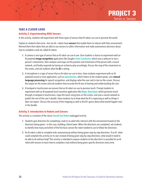#### **TAKE A CLOSER LOOK**

#### **Activity 2: Experimenting With Sensors**

In this activity, students will experiment with three types of sensors that AI robots can use to perceive the world.

Explain to students that some—but not all—robots have **sensors** that enable them to interact with their environment. Remind them that robots that are able to use sensors to collect information and make autonomous decisions about how to complete a task are called AI robots.

- **1.** A camera is one type of sensor that an AI robot can use to see. Give students a chance to experiment with an AI-powered image recognition application like Google's **[Semi-Conductor](http://experiments.withgoogle.com/semi-conductor)**, which uses a webcam to see a person's movements, then analyzes and maps out the position and movement of the person with a neural network, and finally responds by having an orchestra play accordingly. Discuss the map of the movement on the screen, and ask students what the AI is seeing.
- **2.** A microphone is a type of sensor that an AI robot can use to hear. Have students experiment with an AIpowered sound or voice application, such as **[Speechnotes](http://speechnotes.co/)**, which listens to the student speak, uses natural language processing for speech recognition, and displays what the user said in text on the screen. Discuss the output on the screen and ask students how accurate the AI was at hearing and understanding the user.
- **3.** A trackpad or touchscreen are sensors that an AI robot can use to perceive touch. Prompt students to experiment with an AI-powered touch-sensitive application like [Magic Sketchpad](http://magic-sketchpad.glitch.me), which perceives touch through a trackpad or touchscreen, maps the touch using lines on the screen, and uses a neural network to predict the rest of the user's doodle. Have students try to draw what the AI is expecting as well as things it does not expect. Discuss the accuracy of the mapping as well as the AI's guess about what would happen next in the doodle.

#### **Activity 3: Introduction to Robots and Sensors**

This activity is a variation of the classic [Harold the Robot](http://classic.csunplugged.org/wp-content/uploads/2014/12/haroldtherobot.pdf) unplugged activity.

- **1.** Students give directions for completing a task to an adult who interacts with the environment based on the directions being given—in this case, building a block tower. When the directions are completed, ask students to identify how many and which of the five basic senses the robot needed to use to follow the directions.
- **2.** An AI robot is able to complete tasks autonomously without being given step-by-step directions. If an AI robot could complete this activity on its own instead of being given step-by-step directions, what would it need to be able to do without help? This activity is intended to expose students to the idea that it is possible for an AI robot with sensors to learn how to complete a task without being given specific directions every time.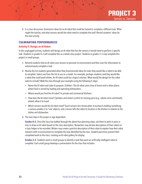**3.** In a class discussion, brainstorm ideas for an AI robot that could be trained to complete a different task. What might the task be, and what sensors would the robot need to complete the task? Record students' ideas for the next activity.

#### **CULMINATING PERFORMANCES**

#### **Activity 4: Design an AI Robot**

In this unplugged activity, students will design an AI robot that has the sensors it would need to perform a specific task. Students in grades K–2 will complete this as a whole class project. Students in grades 3–5 may complete this project in small groups.

- **1.** Remind students that an AI robot uses sensors to perceive its environment and then uses the information to autonomously complete a task.
- **2.** Review the list students generated when they brainstormed ideas for tasks they would like a robot to be able to complete. Select one from the list to use as a model. For example, perhaps students said they would like a robot that could wash dishes. An AI robot could be a logical solution. What would the design for this robot need to include? Walk the class through your example using the following 4 steps:
	- Name the AI robot and state its purpose: Dishbot—This AI robot saves time at home and in other places where food is served by loading and operating dishwashers.
	- Where would you find this AI robot? In private and commercial kitchens.
	- How does the AI robot move? Cylinders and motors control its moving parts (e.g., robotic arms and hands); wheels allow it to travel.
	- Which sensors would this AI robot need? Touch sensors let it know when it touches/is holding something; a camera enables it to "see" objects; and a sensor tells the robot its location in the kitchen in relation to the dishes and dishwasher.
- **3.** The next step in this project is age dependent.

**Grades K–2.** Once the class has walked through the above four planning steps, ask them to work in pairs or trios to draw an AI robot based on the class description. Nonwriters may dictate descriptions of their robots to a class helper to be recorded. Writers may create a pair/trio description of their robot to explain how their robot interacts with its environment to complete the task identified by the class. Student pairs/trios present their completed work to the class, creating an AI robot gallery for display.

**Grades 3–5.** Students work in small groups to identify a task they want an artificially intelligent robot to complete. Each small group develops a presentation for the class that includes: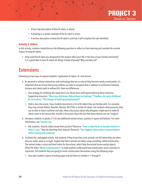**PROJECT 3** Senses vs. Sensors

- <span id="page-33-0"></span>• A four-step description of their AI robot, as above.
- A drawing or a written example of the AI robot in action.
- A written description of what the AI robot is and how it will complete the task identified.

#### **Activity 5: Reflect**

In this activity, students should discuss the following question to reflect on their learning and consider the societal impact of using AI robots.

• How could the AI robot you designed for this project affect your life or the lives of your friends and family? Is it a good idea to have AI robots do things instead of people? Why and why not?

### **Extensions**

Following are two ways to expand students' exploration of robots, AI, and sensors:

- **1.** As we work to achieve interactions with technology that are so natural they become nearly unnoticeable, it's important that we ensure that young children are able to recognize that in addition to similarities between humans and robots (with or without AI), there are differences.
	- One strategy for clarifying this separation is to refrain from anthropomorphizing these machines. Supporting resources: "[Does your kid know: Robots have no feelings](https://parentology.com/does-your-kid-know-robots-have-no-feelings/)," "[PopBots: An early childhood](http://www.media.mit.edu/projects/pop-kit/publications/)  [AI curriculum](http://www.media.mit.edu/projects/pop-kit/publications/)," "[The Danger of Anthropomorphizing AI](http://www.tractica.com/automation-robotics/the-danger-of-anthropomorphizing-ai)"
	- Hold a class discussion. Have students brainstorm a list of AI robots they are familiar with. For example, they may include iRobot, Roomba, Roxxter, RX-V100, or similar AI robots. Ask students what pronouns they use to refer to these machines and why. Have a discussion about why designers might want to make AI robots seem to be human-like. Include a discussion about the fact that these devices are not "magical."
- **2.** Introduce students in grades 3–5 to two additional animal senses: position in space and balance. For more information, see [7senses.org](http://www.7senses.org.au/what-are-the-7-senses/)
	- Ask students: How do robots locate their position? Resource: "[How a robot finds its location based on](http://m.oursky.com/how-a-robot-finds-its-location-based-on-what-it-sees-2981fec74268)  [what it 'sees'](http://m.oursky.com/how-a-robot-finds-its-location-based-on-what-it-sees-2981fec74268)" How do they keep their balance? Resource: "Two-legged robot mimics human balance [while running and jumping](http://www.sciencedaily.com/releases/2019/10/191030151155.htm)"
- **3.** Facilitate this unplugged activity: Ask students if they know how some animals can tell where they are when they are under water or at night. Explain that these animals are likely using something called *echolocation*. The animal makes a noise and then listens for the echoes, which help the animal locate nearby objects. Show the video "[What Is Echolocation?](http://www.youtube.com/watch?v=5GuaNA-5qWw)" to help students understand how echolocation works and why it's important. Tell students they are going to mimic echolocation themselves using the following steps:
	- Give each student a piece of writing paper and ask them to number it 1 through 9.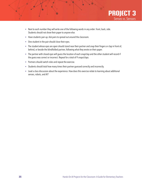

- Next to each number they will write one of the following words in any order: front, back, side. Students should not show their paper to anyone else.
- Have students pair up. Ask pairs to spread out around the classroom.
- One student in the pair should close their eyes.
- The student whose eyes are open should stand near their partner and snap their fingers or clap in front of, behind, or beside the blindfolded partner, following what they wrote on their paper.
- The partner with closed eyes will guess the location of each snap/clap and the other student will record if the guess was correct or incorrect. Repeat for a total of 9 snaps/claps.
- Partners should switch roles and repeat the exercise.
- Students should total how many times their partner guessed correctly and incorrectly.
- Lead a class discussion about the experience. How does this exercise relate to learning about additional senses, robots, and AI?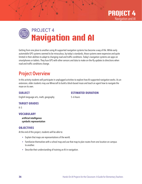

<span id="page-35-0"></span>

Getting from one place to another using AI-supported navigation systems has become a way of life. While early automobile GPS systems seemed to be miraculous, by today's standards, those systems were expensive and quite limited in their abilities to adapt to changing road and traffic conditions. Today's navigation systems are apps on smartphones or tablets. They fuse GPS with other sensors and data to make on-the-fly updates to directions when road and traffic conditions change.

### Project Overview

In this activity students will participate in unplugged activities to explore how AI-supported navigation works. As an extension, older students may use Minecraft to build a block-based maze and teach an agent how to navigate the maze on its own.

#### **SUBJECT**

#### **ESTIMATED DURATION**

English language arts, math, geography

5–6 hours

#### **TARGET GRADES**

K–5

#### **VOCABULARY**

artificial intelligence symbolic representation

#### **OBJECTIVES**

At the end of this project, students will be able to:

- Explain that maps are representations of the world.
- Familiarize themselves with a school map and use that map to plan routes from one location on campus to another.
- Describe their understanding of training an AI in navigation.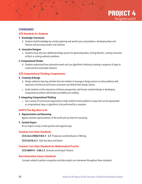

#### **STANDARDS**

#### **ISTE Standards for Students**

#### 3. Knowledge Constructor

d. Students build knowledge by actively exploring real-world issues and problems, developing ideas and theories and pursuing answers and solutions.

#### 4. Innovative Designer

a. Students know and use a deliberate design process for generating ideas, testing theories, creating innovative artifacts or solving authentic problems.

#### 5. Computational Thinker

d. Students understand how automation works and use algorithmic thinking to develop a sequence of steps to create and test automated solutions.

#### **ISTE Computational Thinking Competencies**

#### 4. Creativity & Design

- b. Design authentic learning activities that ask students to leverage a design process to solve problems with awareness of technical and human constraints and defend their design choices.
- c. Guide students on the importance of diverse perspectives and human-centered design in developing computational artifacts with broad accessibility and usability.

#### 5. Integrating Computational Thinking

c. Use a variety of instructional approaches to help students frame problems in ways that can be represented as computational steps or algorithms to be performed by a computer.

#### **AI4K12 Five Big Ideas in AI**

#### 2. Representation and Reasoning

Agents maintain representations of the world and use them for reasoning.

#### 5. Societal Impact

AI can impact society in both positive and negative ways.

#### **Common Core State Standards**

CCSS.ELA-LITERACY.W.K.7 – 5.7: Production and Distribution of Writing

CCSS.ELA-RL.K.3 – 5.3: Key Ideas and Details

#### **Common Core State Standards for Mathematical Practice**

CCSS.MATH-K – 4.OA.C.5: Generate and Analyze Patterns

#### **Next Generation Science Standards**

Concepts related to pattern recognition and data analysis are interwoven throughout these standards.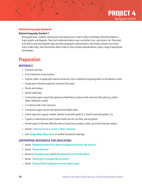#### <span id="page-37-0"></span>**National Geography Standards**

#### National Geography Standard 1

At all grade levels, students need practice and experiences in how to collect and display information (data) on maps, graphs, and diagrams. They must understand what a map is and what it can—and cannot—do. They need to be able to read and interpret maps and other geographic representations. And finally, students must know how to make maps, from hand-drawn sketch maps to more complex representations using a range of appropriate technologies.

### Preparation

#### **MATERIALS**

- A printed road map.
- A list of directions to any location.
- A phone, tablet, or laptop with internet connection, and a method for projecting what's on the device's screen.
- A large piece of butcher paper (for classroom floor plan).
- Pencils and markers.
- Double-sided tape.
- Construction paper cutouts that represent unfixed items to place on the classroom floor plan (e.g., desks, tables, bookcases, easels).
- 5–6 items to hide in the classroom.
- Construction paper cutouts that represent the hidden items.
- School maps (one copy per student, labeled if used with grades K–2, blank if used with grades 3–5).
- Crayons or colored pencils (each student needs one red, one blue, and one green).
- Printed copies of the three difficulty levels of mazes (easy, medium, hard), one of each level per student.
- Activity: Code.org Course 2[, Lesson 3. Maze: Sequence](https://studio.code.org/s/course2/stage/3/puzzle/1)
- Tool: [Google Maps](https://www.google.com/maps), [Maps](https://apps.apple.com/us/app/maps/id915056765), [Waze](https://www.waze.com/waze ), or another AI-powered maps app.

#### **SUPPORTING RESOURCES FOR EDUCATORS**

- Article: "[Deepmind teaches AI to follow navigational directions like humans](http://thenextweb.com/artificial-intelligence/2019/03/04/deepmind-teaches-ai-to-follow-navigational-directions-like-humans/)"
- Article: "[Claude Shannon](http://history-computer.com/ModernComputer/thinkers/Shannon.html)"
- Resource: [Krazydad mazes](http://krazydad.com/mazes/) and [All Kids Network Free Printable Mazes](http://www.allkidsnetwork.com/mazes/)
- Article: "[Teaching AI to navigate like our brains](http://www.allerin.com/blog/teaching-ai-to-navigate-like-our-brains)"
- Article: "[Using artificial intelligence to enrich digital maps](http://www.weforum.org/agenda/2020/01/artificial-intelligence-digital-maps-machine-learning-navigation-technology/)"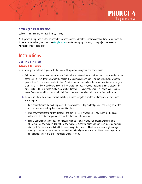

#### <span id="page-38-0"></span>**ADVANCED PREPARATION**

Collect all materials and organize them by activity.

An AI-powered maps app is often pre-installed on smartphones and tablets. Confirm access and review functionality if needed. Alternatively, bookmark the [Google Maps](https://www.google.com/maps) website on a laptop. Ensure you can project the screen on whatever device you are using.

### **Instructions**

#### **GETTING STARTED**

#### **Activity 1: Discussion**

In this activity, students will engage with the topic of AI-supported navigation and how it works.

- **1.** Ask students: How do the members of your family who drive know how to get from one place to another in the car? Does it make a difference when the person driving already knows how to go somewhere, and when the person doesn't know where the destination is? Guide students to conclude that when the driver wants to go to a familiar place, they know how to navigate there unassisted. However, when heading to a new location, the driver will need help in the form of a map, a set of directions, or a navigation app like Google Maps, Maps, or Waze. Ask students which kinds of help their family members use when going to an unfamiliar location.
- **2.** Demonstrate how these three types of tools help humans navigate: a printed road map, written directions, and a maps app.
	- First, show students the road map. Ask if they know what it is. Explain that people used to rely on printed road maps whenever they drove to unfamiliar places.
	- Then show students the written directions and explain that this was another navigation method used in the past. Describe how people used written directions when driving.
	- Finally, demonstrate the AI-powered maps app you selected, preferably on a tablet or smartphone. Show students how to add a destination, how to choose a starting point, and how the suggested route is displayed. Explain to students that this type of navigation app uses AI—the science and engineering of creating computer programs that can imitate human intelligence—to analyze different ways to get from one place to another and pick the shortest or fastest route.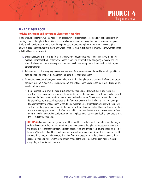#### **TAKE A CLOSER LOOK**

#### **Activity 2: Creating and Navigating Classroom Floor Plans**

In this unplugged activity, students will have an opportunity to explore spatial skills and navigation concepts by creating a map (a floor plan) of a familiar space—the classroom—and then using that map to navigate the space. Students will transfer their learning from this experience to understanding how AI represents the world. (The activity is designed for students to create one whole-class floor plan, but students in grades 3–5 may want to create individual floor plans instead.)

- **1.** Explain to students that in order for an AI to make independent decisions, it must first have a model—or symbolic representation—of the world. A map is one kind of model. If the AI is going to make a decision about the best directions from one place to another, it will need a map that includes roads, buildings, and other landmarks.
- **2.** Tell students that they are going to create an example of a representation of the world (model) by making a detailed floor plan (map) of the classroom on a large piece of butcher paper.
- **3.** Depending on students' ages, you may need to explain that floor plans can show both the fixed structures of the room (e.g., walls, doors, closets, and windows) and unfixed items placed in the room (e.g., desks, tables, easels, and bookcases).
	- Demonstrate how to draw the fixed structures of the floor plan, and show students how to use the construction paper cutouts to represent the unfixed items on the floor plan. Help students make a pencil sketch of the fixed structures of the classroom on the butcher paper. Allow them to refer to the cutouts for the unfixed items that will be placed on the floor plan to ensure that the floor plan is large enough to accommodate the unfixed items, without being too large. Once students are satisfied with the pencil sketch, have them use markers to make that part of the floor plan more visible. Then ask students to place the construction paper cutouts on the floor plan, taking care to replicate the actual placement of unfixed items in the classroom. When students agree that the placement is correct, use double-sided tape to affix the cut-outs to the floor plan.

**OPTIONAL:** For older students, you may want to extend the activity to apply students' understanding of scale and estimation. Explain that sometimes a person drawing a floor plan will measure the room and the objects in it so that the floor plan accurately depicts fixed and unfixed features. The floor plan is said to be drawn "to scale" if it and the actual room are the exact same shape but different sizes. Students could measure the classroom and objects to draw their floor plan to scale. Let students know that while their classroom floor plan will have the same general shape as the actual room, they likely will not measure everything to draw it exactly to scale.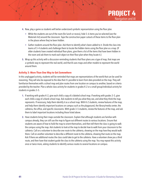- **4.** Now, play a game so students will better understand symbolic representation using the floor plan.
	- While the students are out of the room (for lunch or recess), hide 5–6 items you've selected (see the Materials list) around the classroom. Tape the construction paper cutouts of these items to the floor plan in the places where they've been hidden.
	- Gather students around the floor plan. Ask them to identify what's been added to it. Divide the class into teams of 3–4 students and challenge them to locate the hidden items using the floor plan as a map. (If older students have created individual floor plans, give them a list of the items that have been hidden in the room and ask them to mark each object on their floor plan when they locate it.)
- **5.** Wrap up this activity with a discussion reminding students that floor plans are a type of map, that maps are a symbolic way to represent the real world, and that AI uses maps and other models to represent the world around them.

#### **Activity 3: More Than One Way to Get Somewhere**

In this unplugged activity, students will be reminded that maps are representations of the world that can be used for reasoning. They will also be exposed to the idea that it's possible to learn from data provided on the map. They will familiarize themselves with a school map and plan routes from one location on campus to another, based on criteria provided by the teacher. Plan a whole-class activity for students in grades K–2 or a small group/individual activity for students in grades 3–5.

- **1.** If working with grades K–2, give each child a copy of a labeled school map. If working with grades 3–5, give each child a copy of a blank school map. Ask students to tell you what they see, and what they think the map represents. If necessary, help them identify it as a school map. With K–2 students, review features of the map, and help them identify important locations on campus such as the playground, the library/media center, the cafeteria, the office, and specific classrooms. With grade 3–5 students, review the features of the map, and ask them to label important locations including those listed above.
- **2.** Have students bring their maps outside the classroom. Explain that although students are familiar with campus already, they can still use the map to figure out different routes to various locations. Ensure that students are aware of how to hold the map to orient themselves, and then tell them the class is going to walk the campus using the map. Ask students to look at the map to decide how to walk from your classroom to the cafeteria. Call on a volunteer to describe one route to the cafeteria, showing on the map how they would walk there. Call on another volunteer to describe a different route to the cafeteria, showing that route on the map. Ask if there are additional routes the class could take to get to the cafeteria. Have a volunteer show you a third route, and then have that student guide the class to the cafeteria using the map. You may repeat this activity once or twice more, asking students to identify various routes to several locations on campus.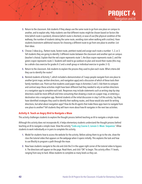- **3.** Return to the classroom. Ask students if they always use the same route to go from one place on campus to another, and to explain why. Help students see that different routes might be chosen based on factors like time (which route is quickest), distance (which route is shortest), or ease of use (the physical condition of the walkway, the number of students taking the same route, avoiding stairs when walking with crutches). Have students brainstorm additional reasons for choosing a different route to go from one place to another. List their ideas.
- **4.** Choose 3 ideas (e.g., flattest route, fastest route, prettiest route) and assign each route a number: 1, 2, or 3. Tell students they are going to identify 3 different routes between the classroom and another spot on campus (teacher's choice). Explain that the red crayon represents route 1, the blue crayon represents route 2, and the green crayon represents route 3. Students will need to go outdoors to plan and record their routes (this may be a whole-class exercise for grades K–2 and a small-group or individual exercise in grades 3–5).
- **5.** Return to the classroom. Ask students to explain the process they used to plan each route. What criteria did they use to identify the routes?
- **6.** Remind students of Activity 1, which included a demonstration of 3 ways people navigate from one place to another (print maps, written directions, and navigation apps) and a discussion of which of these tools their family members use. Point out that students used paper maps in Activities 2 and 3. Ask them to compare and contrast ways these activities might have been different had they needed to rely on written directions or a navigation app to complete each task. Responses may include statements such as writing step-by-step directions could be more difficult and time-consuming than drawing a route on a paper map, or entering a destination into a navigation app. Remind students of the initial discussion in step 5 of this activity. Say they have identified strategies they used to identify their walking routes, and those would also work for writing directions, but what about navigation apps? How do the AI agents that make these apps learn to navigate from one place to another? Tell students they will learn more about how AI navigates in the next two activities.

#### **Activity 4: Teach an Angry Bird to Navigate a Maze**

This activity challenges students to explore the thought process behind teaching an AI to navigate a simple maze.

Although this activity does not incorporate AI, it helps elementary students understand the thought process behind teaching an AI to navigate a simple maze. View the activity "Code.org Course 2[, Lesson 3. Maze: Sequence](https://studio.code.org/s/course2/stage/3/puzzle/1)." Allow students to work individually or in pairs to complete this activity.

- **1.** Model for students how to access the website for the activity. Before asking them to go to the site, show the class the tutorial video that appears on the webpage when it opens initially. This explains the task and how to use Blockly to program a path through the maze.
- **2.** Now have students navigate to the site and click the X in the upper-right corner of the tutorial video to bypass it. The directions will appear on the page. Read them, and click "OK" to begin. This activity offers 11 levels, ranging from easy to hard. Allow students to complete as many levels as they can.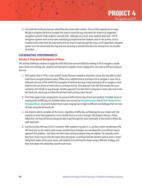**3.** Conclude this activity by having a debriefing discussion with students. Discuss their experiences in using Blockly to program the bird to navigate the maze to reach the pig. How does this relate to AI-supported navigation systems? Help students conclude that—although on a much more sophisticated level—the AI navigation systems work on the same underlying principles that the students used in this activity. Just as students had to learn how the map works and use reason to get through the maze, an AI-supported navigation system must be trained with the map and use reasoning to provide directions for moving from one location to another.

#### **CULMINATING PERFORMANCES**

#### **Activity 5: Rule-Based Navigation of Mazes**

This activity challenges students to apply the skills they have learned related to training an AI to navigate a simple maze. Given one training rule, students will attempt to complete mazes ranging from very easy to difficult using just that rule.

- **1.** Tell students that in 1950, a man named Claude Shannon created an electronic mouse that was able to teach itself how to navigate physical mazes. While not as sophisticated as training an AI to navigate a maze, this is believed to be one of the world's first examples of machine learning. Today, training an AI to navigate a maze based on the use of one or more rules is a common activity. One approach is for the AI to wander the maze randomly until it finds its way through. Another approach is to train the AI using one or more rules such as the left-hand rule, which says to *follow the left-hand wall until you reach the exit.*
- **2.** Print three paper mazes ranging from very easy to difficult (one copy of each per student). Printable mazes of varying levels of difficulty are available online; two sources are K[razydad mazes](http://krazydad.com/mazes/) and All Kids Network Free [Printable Mazes](http://www.allkidsnetwork.com/mazes/). Give each student three mazes ranging from simple to difficult and challenge them to solve all three using the left-hand rule.
- **3.** Are students able to complete all the mazes, regardless of difficulty, by following that one simple rule? Ask students to share their experience, and to decide if just one rule is enough. Tell students that yes, if they follow that rule they will almost always be able to get through the maze eventually. It also works to follow the right-hand wall.
- **4.** End the activity with step 3 for K–2 students. With students in grades 3–5, say that random wandering or the left-hand rule can be used to solve mazes, but that these strategies are not always the most efficient way to approach this problem—that there are other maze-solving strategies they can explore. For example, could they find a faster way to solve the mazes they were given, or perhaps find the shortest route to solve a maze? Using fresh copies of the same mazes, ask students to try solving the mazes using a different strategy, and then write down the rule(s) they used for each maze.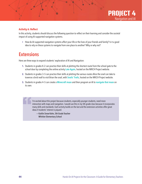#### <span id="page-43-0"></span>**Activity 6: Reflect**

In this activity, students should discuss the following question to reflect on their learning and consider the societal impact of using AI-supported navigation systems.

• How do AI-supported navigation systems affect your life or the lives of your friends and family? Is it a good idea to rely on these systems to navigate from one place to another? Why or why not?

### **Extensions**

Here are three ways to expand students' exploration of AI and Navigation:

- **1.** Students in grades K–2 can practice their skills at plotting the shortest route from the school gate to the school door by completing the online activity [Late Again](http://nrich.maths.org/2733), hosted on the NRICH Project website.
- **2.** Students in grades 3–5 can practice their skills at plotting the various routes Alice the snail can take to traverse a brick wall to visit Brian the snail, with [Snails' Trails](http://nrich.maths.org/216), hosted on the NRICH Project website.
- **3.** Students in grades 4–5 can create a [Minecraft maze](http://minecraft.makecode.com/courses/csintro/ai/activity-1) and then program an AI to [navigate that maze](https://minecraft.makecode.com/courses/csintro/ai/activity-2) on its own.

I'm excited about this project because students, especially younger students, need more interaction with maps and navigation. I would use this in my 5th grade class because it incorporates many skills and standards. Each activity builds on the last and the extension activities offer great ideas if students' interest is piqued.

— Kaitlin Snow Kohn, 5th Grade Teacher Whittier Elementary School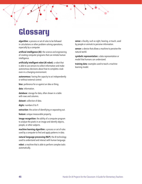## <span id="page-44-0"></span>**Glossary**

algorithm: a process or set of rules to be followed in calculations or other problem-solving operations, especially by a computer.

artificial intelligence (AI): the science and engineering of creating computer programs that can imitate human intelligence.

artificially intelligent robot (AI robot): a robot that is able to use sensors to collect information and make autonomous decisions about how to complete a task even in a changing environment.

autonomous: having the capacity to act independently or without external control.

bias: preference for or against an idea or thing.

data: information.

database: storage for data, often shown in a table with rows and columns.

dataset: collection of data.

digits: numbers 0 to 9.

extraction: the action of identifying or separating out.

feature: unique measurable property.

image recognition: the ability of a computer program to analyze the pixels in an image and identify objects, people, or other subjects.

machine learning algorithm: a process or set of rules used by a computer to find and apply patterns in data.

natural language processing (NLP): the AI technology used to understand and interact with human language.

robot: a machine that is able to perform complex tasks automatically.

sense: a faculty, such as sight, hearing, or touch, used by people or animals to perceive information.

sensor: a device that allows a machine to perceive the natural world.

symbolic representation: a data representation or model that humans can understand.

training data: examples used to teach a machine learning model.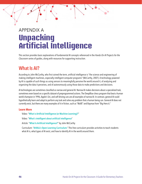## <span id="page-45-0"></span>APPENDIX A **Unpacking Artificial Intelligence**

This section provides basic explanations of fundamental AI concepts referenced in the *Hands-On AI Projects for the Classroom* series of guides, along with resources for supporting instruction.

### What Is AI?

According to John McCarthy, who first coined the term, artificial intelligence is "the science and engineering of making intelligent machines, especially intelligent computer programs" (McCarthy, 2007). A technology powered by AI is capable of such things as using sensors to meaningfully perceive the world around it, of analyzing and organizing the data it perceives, and of autonomously using those data to make predictions and decisions.

AI technologies are sometimes classified as narrow and general AI. Narrow AI makes decisions about a specialized task, sometimes even based on a specific dataset of preprogrammed actions. The DeepBlue chess program that beat a human world champion in 1996, Apple's Siri, and self-driving cars are all examples of narrow AI. In contrast, general AI could hypothetically learn and adapt to perform any task and solve any problem that a human being can. General AI does not currently exist, but there are many examples of it in fiction, such as "WallE" and Baymax from "Big Hero 6."

#### **Learn More**

Video: "[What is Artificial Intelligence \(or Machine Learning\)?](www.youtube.com/watch?v=mJeNghZXtMo&feature=youtu.be)"

Video: "[What's intelligent about artificial intelligence](www.youtube.com/watch?v=xR6j9TLZdAw)"

Article: "[What Is Artificial Intelligence?](jmc.stanford.edu/articles/whatisai/whatisai.pdf)" by John McCarthy

Curriculum: "[AI4ALL's Open Learning Curriculum](https://ai-4-all.org/open-learning/)." This free curriculum provides activities to teach students what AI is, what types of AI exist, and how to identify AI in the world around them.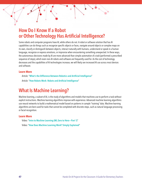### <span id="page-46-0"></span>How Do I Know If a Robot or Other Technology Has Artificial Intelligence?

Some robots and computer programs have AI, while others do not. A robot or software solution that has AI capabilities can do things such as recognize specific objects or faces, navigate around objects or complex maps on its own, classify or distinguish between objects, interact naturally with humans, understand or speak in a human language, recognize or express emotions, or improvise when encountering something unexpected. In these ways, the autonomous decisions made by AI are more advanced than simple automation of a task (performed a prescribed sequence of steps), which even non-AI robots and software are frequently used for. As the cost of technology decreases and the capabilities of AI technologies increase, we will likely see increased AI use across most devices and software.

#### **Learn More**

Article: "[What's the Difference Between Robotics and Artificial Intelligence](blog.robotiq.com/whats-the-difference-between-robotics-and-artificial-intelligence)"

Article: "[How Robots Work: Robots and Artificial Intelligence](science.howstuffworks.com/robot6.htm)"

### What Is Machine Learning?

Machine learning, a subset of AI, is the study of algorithms and models that machines use to perform a task without explicit instructions. Machine learning algorithms improve with experience. Advanced machine learning algorithms use neural networks to build a mathematical model based on patterns in sample "training" data. Machine learning algorithms are best used for tasks that cannot be completed with discrete steps, such as natural language processing or facial recognition.

#### **Learn More**

Video: "[Intro to Machine Learning \(ML Zero to Hero—Part 1\)](www.youtube.com/watch?v=KNAWp2S3w94)" Video: "[How Does Machine Learning Work? Simply Explained](www.youtube.com/watch?v=h12O5CWc-is)"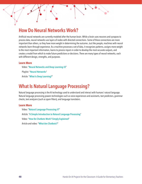### <span id="page-47-0"></span>How Do Neural Networks Work?

Artificial neural networks are currently modeled after the human brain. While a brain uses neurons and synapses to process data, neural networks use layers of nodes with directed connections. Some of these connections are more important than others, so they have more weight in determining the outcome. Just like people, machines with neural networks learn through experience. As a machine processes a set of data, it recognizes patterns, assigns more weight to the most important information, learns to process inputs in order to develop the most accurate outputs, and creates a model from which to make future predictions or decisions. There are many types of neural networks, each with different design, strengths, and purposes.

#### **Learn More**

Video: "[Neural Networks and Deep Learning #3](www.pbs.org/video/neural-networks-and-deep-learning-3-dw9eip/)" Playlist: "[Neural Networks](www.youtube.com/playlist?list=PLZHQObOWTQDNU6R1_67000Dx_ZCJB-3pi)" Article: "[What Is Deep Learning?](www.machinelearningmastery.com/what-is-deep-learning/)"

### What Is Natural Language Processing?

Natural language processing is the AI technology used to understand and interact with humans' natural language. Natural language processing powers technologies such as voice experiences and assistants, text predictors, grammar checks, text analyzers (such as spam filters), and language translators.

#### **Learn More**

Video: "[Natural Language Processing #7](www.pbs.org/video/natural-language-processing-7-eroyod/)" Article: "[A Simple Introduction to Natural Language Processing](www.becominghuman.ai/a-simple-introduction-to-natural-language-processing-ea66a1747b32)" Video: "[How Do Chatbots Work? Simply Explained](www.youtube.com/watch?v=aDZc_UW7uNA)" Article and video: "[What Are Chatbots?](edu.gcfglobal.org/en/thenow/what-are-chatbots/1/)"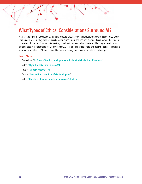### <span id="page-48-0"></span>What Types of Ethical Considerations Surround AI?

All AI technologies are developed by humans. Whether they have been preprogrammed with a set of rules, or use training data to learn, they will have bias based on human input and decision-making. It is important that students understand that AI decisions are not objective, as well as to understand which stakeholders might benefit from certain biases in the technologies. Moreover, many AI technologies collect, store, and apply personally identifiable information about users. Students should be aware of privacy concerns related to these technologies.

#### **Learn More**

Curriculum: "[An Ethics of Artificial Intelligence Curriculum for Middle School Students](docs.google.com/document/d/1e9wx9oBg7CR0s5O7YnYHVmX7H7pnITfoDxNdrSGkp60/edit?usp=sharing)" Video: "[Algorithmic Bias and Fairness #18](www.pbs.org/video/algorithmic-bias-and-fairness-18-4gxvyl/)" Article: "[Ethical Concerns of AI](www.forbes.com/sites/cognitiveworld/2020/12/29/ethical-concerns-of-ai/#738385b423a8)" Article: "[Top 9 ethical issues in Artificial Intelligence](www.weforum.org/agenda/2016/10/top-10-ethical-issues-in-artificial-intelligence/)"

Video: "[The ethical dilemma of self-driving cars—Patrick Lin](www.youtube.com/watch?v=ixIoDYVfKA0)"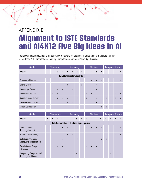## <span id="page-49-0"></span>APPENDIX B **Alignment to ISTE Standards and AI4K12 Five Big Ideas in AI**

The following tables provide a big-picture view of how the projects in each guide align with the ISTE Standards for Students, ISTE Computational Thinking Competencies, and AI4K12 Five Big Ideas in AI.

| Guide                              | <b>Elementary</b> |                |              |              |              |                | <b>Secondary</b> |                |                |                | <b>Electives</b> |                | <b>Computer Science</b> |                |                |              |  |
|------------------------------------|-------------------|----------------|--------------|--------------|--------------|----------------|------------------|----------------|----------------|----------------|------------------|----------------|-------------------------|----------------|----------------|--------------|--|
| Project                            | 1                 | $\overline{2}$ | 3            | 4            | 1            | $\overline{2}$ | $\overline{3}$   | $\overline{4}$ | $\overline{1}$ | $\overline{2}$ | $\overline{3}$   | $\overline{4}$ | 1                       | $\overline{2}$ | $\overline{3}$ | 4            |  |
| <b>ISTE Standards for Students</b> |                   |                |              |              |              |                |                  |                |                |                |                  |                |                         |                |                |              |  |
| <b>Empowered Learner</b>           | $\mathsf{X}$      | $\mathsf{x}$   |              |              |              |                | $\mathsf{X}$     |                |                | $\mathsf{X}$   | $\mathsf{X}$     | $\mathsf{X}$   | $\mathsf{X}$            |                | $\mathsf{X}$   | $\mathsf{X}$ |  |
| Digital Citizen                    |                   |                |              |              | $\mathsf{X}$ |                |                  | $\mathsf{x}$   |                |                | $\mathsf{X}$     |                |                         | $\mathsf{x}$   |                |              |  |
| Knowledge Constructor              | $\mathsf{x}$      |                | $\mathsf{X}$ | $\mathsf{X}$ |              | $\mathsf{X}$   | $\mathsf{X}$     | $\mathsf{X}$   |                |                | $\mathsf{X}$     |                | $\mathsf{x}$            |                |                |              |  |
| <b>Innovative Designer</b>         |                   | $\mathsf{x}$   | $\mathsf{x}$ |              |              |                | $\mathsf{x}$     |                | $\mathsf{x}$   | $\mathsf{x}$   |                  |                |                         |                | $\mathsf{X}$   | X            |  |
| <b>Computational Thinker</b>       |                   |                | $\mathsf{x}$ | $\mathsf{X}$ | $\mathsf{x}$ |                | $\mathsf{X}$     |                | $\mathsf{X}$   |                | $\mathsf{x}$     |                | $\mathsf{x}$            | $\mathsf{x}$   | $\mathsf{X}$   | X            |  |
| <b>Creative Communicator</b>       |                   |                |              |              | $\mathsf{X}$ | $\mathsf{x}$   |                  | $\mathsf{X}$   |                |                | $\mathsf{x}$     |                |                         | X              |                |              |  |
| Global Collaborator                |                   |                |              |              |              |                | $\mathsf{X}$     |                |                |                |                  | X              | $\mathsf{x}$            |                |                |              |  |

| Guide                                                      | <b>Elementary</b> |                |              |                |              |                | <b>Secondary</b> |                |              |                | <b>Electives</b> |              | <b>Computer Science</b> |                  |              |              |  |
|------------------------------------------------------------|-------------------|----------------|--------------|----------------|--------------|----------------|------------------|----------------|--------------|----------------|------------------|--------------|-------------------------|------------------|--------------|--------------|--|
| Project                                                    | 1                 | $\overline{2}$ | 3            | $\overline{4}$ | 1            | $\overline{2}$ | $\mathbf{3}$     | $\overline{4}$ | $\mathbf{1}$ | $\overline{2}$ | $\overline{3}$   | 4            | 1                       | $\overline{2}$   | 3            | 4            |  |
| <b>ISTE Computational Thinking Competencies</b>            |                   |                |              |                |              |                |                  |                |              |                |                  |              |                         |                  |              |              |  |
| Computational<br>Thinking (Learner)                        |                   |                |              | $\mathsf{x}$   | $\mathsf{X}$ | $\mathsf{X}$   | $\mathsf{X}$     |                | $\mathsf{x}$ | $\mathsf{X}$   | $\mathsf{X}$     | $\mathsf{X}$ | $\mathsf{X}$            |                  | $\mathsf{x}$ | $\mathsf{x}$ |  |
| Equity Leader (Leader)                                     |                   |                |              |                | $\mathsf{x}$ | $\mathsf{X}$   | $\mathsf{X}$     | $\mathsf{x}$   |              |                |                  |              |                         |                  | $\mathsf{X}$ | $\mathsf{x}$ |  |
| <b>Collaborating Around</b><br>Computing (Collaborator)    | $\mathsf{X}$      |                |              | $\mathsf{x}$   |              |                | $\mathsf{x}$     |                |              |                |                  | $\mathsf{X}$ | $\mathsf{x}$            |                  |              |              |  |
| <b>Creativity and Design</b><br>(Designer)                 | $\mathsf{X}$      | $\mathsf{x}$   | $\mathsf{X}$ | $\mathsf{x}$   |              |                |                  | X              | $\mathsf{x}$ | $\mathsf{x}$   | $\mathsf{x}$     |              |                         | X                | X            |              |  |
| <b>Integrating Computational</b><br>Thinking (Facilitator) |                   | X              | $\mathsf{x}$ |                |              |                | X                |                | X            | X              |                  |              |                         | $\boldsymbol{X}$ |              |              |  |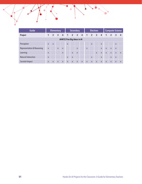| Guide                                 |              | <b>Elementary</b> |                |                |              | <b>Secondary</b> |                |                |              | <b>Electives</b> |                         | <b>Computer Science</b> |              |                |                |              |
|---------------------------------------|--------------|-------------------|----------------|----------------|--------------|------------------|----------------|----------------|--------------|------------------|-------------------------|-------------------------|--------------|----------------|----------------|--------------|
| Project                               | 1            | $\overline{2}$    | $\overline{3}$ | $\overline{4}$ | $\mathbf{1}$ | $\overline{2}$   | $\overline{3}$ | $\overline{4}$ | $\mathbf{1}$ | $\overline{2}$   | $\overline{\mathbf{3}}$ | $\overline{4}$          | 1            | $\overline{2}$ | $\overline{3}$ | 4            |
| AI4K12 Five Big Ideas in AI           |              |                   |                |                |              |                  |                |                |              |                  |                         |                         |              |                |                |              |
| Perception                            | $\mathsf{X}$ | $\mathsf{X}$      |                |                | $\mathsf{X}$ |                  |                |                |              | $\boldsymbol{X}$ |                         | $\mathsf{x}$            |              |                | $\mathsf{X}$   |              |
| <b>Representation &amp; Reasoning</b> | $\mathsf{x}$ |                   | $\mathsf{x}$   | $\mathsf{x}$   |              |                  | $\mathsf{x}$   |                | $\mathsf{x}$ |                  |                         | $\mathsf{x}$            | $\mathsf{X}$ | $\mathsf{x}$   | $\mathsf{X}$   |              |
| Learning                              | $\mathsf{x}$ |                   |                | $\mathsf{x}$   |              | $\mathsf{X}$     | $\mathsf{X}$   |                |              |                  | $\mathsf{x}$            | $\mathsf{x}$            | $\mathsf{X}$ | $\mathsf{x}$   | $\mathsf{X}$   | $\mathsf{x}$ |
| <b>Natural Interaction</b>            | $\mathsf{x}$ |                   |                |                | $\mathsf{x}$ | $\mathsf{x}$     |                |                |              | $\mathsf{X}$     |                         | $\mathsf{x}$            |              | $\mathsf{X}$   | $\mathsf{x}$   |              |
| Societal Impact                       | $\mathsf{x}$ | $\mathsf{X}$      | X              | $\mathsf{x}$   | $\mathsf{X}$ | $\mathsf{x}$     | $\mathsf{x}$   | $\mathsf{x}$   | $\mathsf{X}$ | $\mathsf{x}$     | $\mathsf{x}$            | $\mathsf{x}$            | $\mathsf{X}$ | $\mathsf{x}$   | X              | X            |